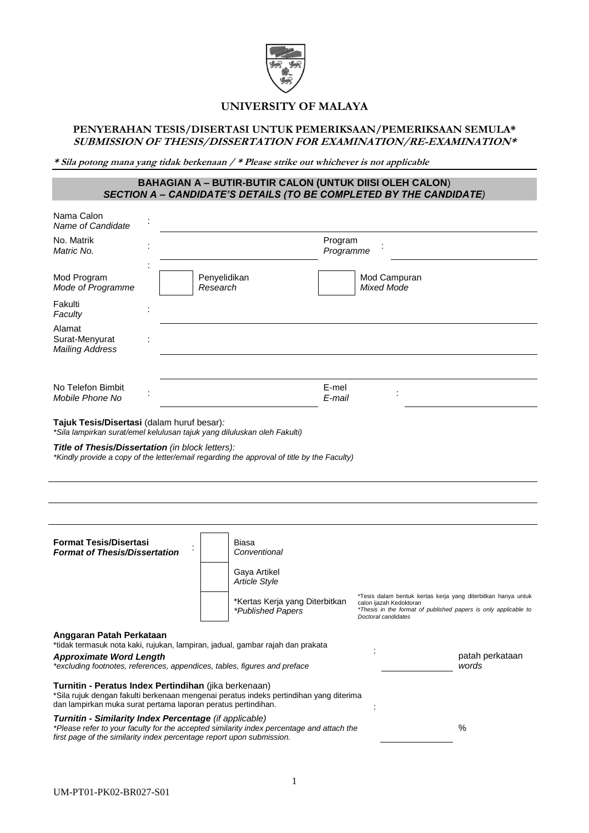

# **UNIVERSITY OF MALAYA**

# **PENYERAHAN TESIS/DISERTASI UNTUK PEMERIKSAAN/PEMERIKSAAN SEMULA\* SUBMISSION OF THESIS/DISSERTATION FOR EXAMINATION/RE-EXAMINATION\***

**\* Sila potong mana yang tidak berkenaan / \* Please strike out whichever is not applicable**

# **BAHAGIAN A – BUTIR-BUTIR CALON (UNTUK DIISI OLEH CALON**) *SECTION A – CANDIDATE'S DETAILS (TO BE COMPLETED BY THE CANDIDATE)*

| Nama Calon<br>Name of Candidate                                                                                                                                                                                              |                                      |                                |                                                |                                                                                                                                  |
|------------------------------------------------------------------------------------------------------------------------------------------------------------------------------------------------------------------------------|--------------------------------------|--------------------------------|------------------------------------------------|----------------------------------------------------------------------------------------------------------------------------------|
| No. Matrik<br>Matric No.                                                                                                                                                                                                     |                                      | Program<br>Programme           |                                                |                                                                                                                                  |
| Mod Program<br>Mode of Programme                                                                                                                                                                                             | Penyelidikan<br>Research             |                                | Mod Campuran<br><b>Mixed Mode</b>              |                                                                                                                                  |
| Fakulti<br>Faculty                                                                                                                                                                                                           |                                      |                                |                                                |                                                                                                                                  |
| Alamat<br>Surat-Menyurat<br><b>Mailing Address</b>                                                                                                                                                                           |                                      |                                |                                                |                                                                                                                                  |
| No Telefon Bimbit<br>Mobile Phone No                                                                                                                                                                                         |                                      | E-mel<br>E-mail                |                                                |                                                                                                                                  |
| Tajuk Tesis/Disertasi (dalam huruf besar):<br>*Sila lampirkan surat/emel kelulusan tajuk yang diluluskan oleh Fakulti)                                                                                                       |                                      |                                |                                                |                                                                                                                                  |
| Title of Thesis/Dissertation (in block letters):<br>*Kindly provide a copy of the letter/email regarding the approval of title by the Faculty)                                                                               |                                      |                                |                                                |                                                                                                                                  |
|                                                                                                                                                                                                                              |                                      |                                |                                                |                                                                                                                                  |
|                                                                                                                                                                                                                              |                                      |                                |                                                |                                                                                                                                  |
| <b>Format Tesis/Disertasi</b><br><b>Format of Thesis/Dissertation</b>                                                                                                                                                        | Biasa<br>Conventional                |                                |                                                |                                                                                                                                  |
|                                                                                                                                                                                                                              | Gaya Artikel<br><b>Article Style</b> |                                |                                                |                                                                                                                                  |
|                                                                                                                                                                                                                              | *Published Papers                    | *Kertas Kerja yang Diterbitkan | calon ijazah Kedoktoran<br>Doctoral candidates | *Tesis dalam bentuk kertas kerja yang diterbitkan hanya untuk<br>*Thesis in the format of published papers is only applicable to |
| Anggaran Patah Perkataan<br>*tidak termasuk nota kaki, rujukan, lampiran, jadual, gambar rajah dan prakata                                                                                                                   |                                      |                                |                                                |                                                                                                                                  |
| <b>Approximate Word Length</b><br>*excluding footnotes, references, appendices, tables, figures and preface                                                                                                                  |                                      |                                |                                                | patah perkataan<br>words                                                                                                         |
| Turnitin - Peratus Index Pertindihan (jika berkenaan)<br>*Sila rujuk dengan fakulti berkenaan mengenai peratus indeks pertindihan yang diterima<br>dan lampirkan muka surat pertama laporan peratus pertindihan.             |                                      |                                |                                                |                                                                                                                                  |
| Turnitin - Similarity Index Percentage (if applicable)<br>*Please refer to your faculty for the accepted similarity index percentage and attach the<br>first page of the similarity index percentage report upon submission. |                                      |                                |                                                | $\%$                                                                                                                             |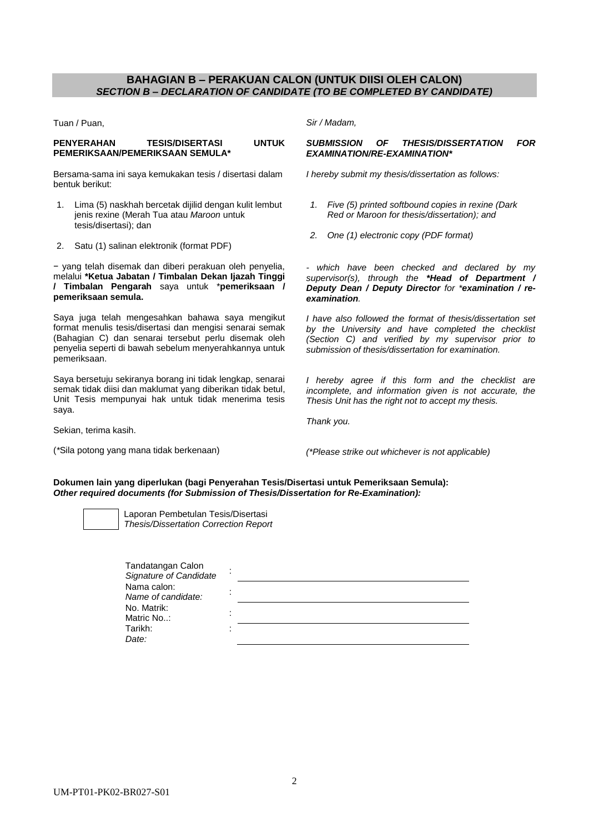# **BAHAGIAN B – PERAKUAN CALON (UNTUK DIISI OLEH CALON)** *SECTION B – DECLARATION OF CANDIDATE (TO BE COMPLETED BY CANDIDATE)*

Tuan / Puan,

### **PENYERAHAN TESIS/DISERTASI UNTUK PEMERIKSAAN/PEMERIKSAAN SEMULA\***

Bersama-sama ini saya kemukakan tesis / disertasi dalam bentuk berikut:

- 1. Lima (5) naskhah bercetak dijilid dengan kulit lembut jenis rexine (Merah Tua atau *Maroon* untuk tesis/disertasi); dan
- 2. Satu (1) salinan elektronik (format PDF)

− yang telah disemak dan diberi perakuan oleh penyelia, melalui **\*Ketua Jabatan / Timbalan Dekan Ijazah Tinggi / Timbalan Pengarah** saya untuk \***pemeriksaan / pemeriksaan semula.**

Saya juga telah mengesahkan bahawa saya mengikut format menulis tesis/disertasi dan mengisi senarai semak (Bahagian C) dan senarai tersebut perlu disemak oleh penyelia seperti di bawah sebelum menyerahkannya untuk pemeriksaan.

Saya bersetuju sekiranya borang ini tidak lengkap, senarai semak tidak diisi dan maklumat yang diberikan tidak betul, Unit Tesis mempunyai hak untuk tidak menerima tesis saya.

Sekian, terima kasih.

(*\**Sila potong yang mana tidak berkenaan)

*Sir / Madam,*

### *SUBMISSION OF THESIS/DISSERTATION FOR EXAMINATION/RE-EXAMINATION\**

*I hereby submit my thesis/dissertation as follows:*

- *1. Five (5) printed softbound copies in rexine (Dark Red or Maroon for thesis/dissertation); and*
- *2. One (1) electronic copy (PDF format)*

*- which have been checked and declared by my supervisor(s), through the \*Head of Department / Deputy Dean / Deputy Director for \*examination / reexamination.* 

*I have also followed the format of thesis/dissertation set by the University and have completed the checklist (Section C) and verified by my supervisor prior to submission of thesis/dissertation for examination.*

*I hereby agree if this form and the checklist are incomplete, and information given is not accurate, the Thesis Unit has the right not to accept my thesis.*

*Thank you.*

*(\*Please strike out whichever is not applicable)*

**Dokumen lain yang diperlukan (bagi Penyerahan Tesis/Disertasi untuk Pemeriksaan Semula):** *Other required documents (for Submission of Thesis/Dissertation for Re-Examination):*

Laporan Pembetulan Tesis/Disertasi *Thesis/Dissertation Correction Report*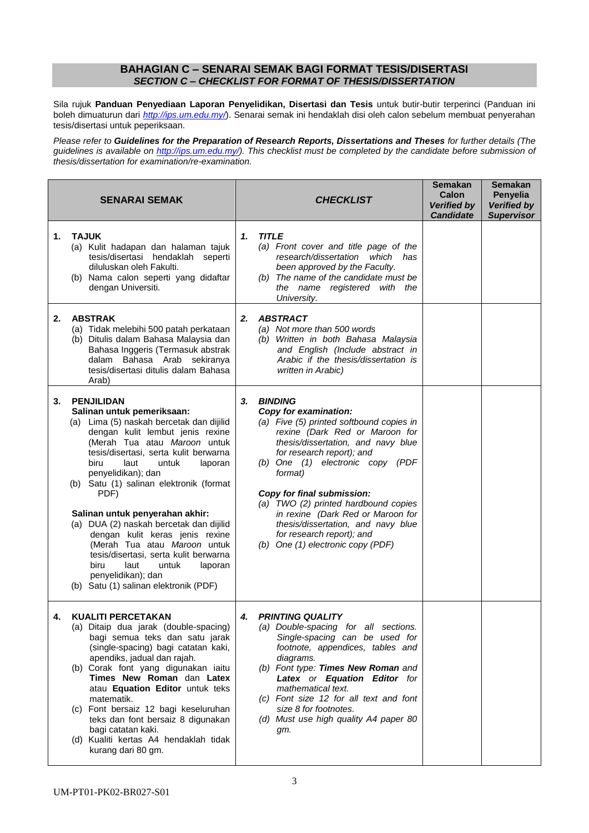## **BAHAGIAN C – SENARAI SEMAK BAGI FORMAT TESIS/DISERTASI** *SECTION C – CHECKLIST FOR FORMAT OF THESIS/DISSERTATION*

Sila rujuk **Panduan Penyediaan Laporan Penyelidikan, Disertasi dan Tesis** untuk butir-butir terperinci (Panduan ini boleh dimuaturun dari *<http://ips.um.edu.my/>*). Senarai semak ini hendaklah disi oleh calon sebelum membuat penyerahan tesis/disertasi untuk peperiksaan.

*Please refer to Guidelines for the Preparation of Research Reports, Dissertations and Theses for further details (The guidelines is available on [http://ips.um.edu.my/\)](http://ips.um.edu.my/). This checklist must be completed by the candidate before submission of thesis/dissertation for examination/re-examination.*

|    | <b>SENARAI SEMAK</b>                                                                                                                                                                                                                                                                                                                                                                                                                                                                                                                                                                                               | <b>CHECKLIST</b>                                                                                                                                                                                                                                                                                                                                                                                                                                                 | <b>Semakan</b><br>Semakan<br>Calon<br>Penyelia<br><b>Verified by</b><br><b>Verified by</b><br><b>Candidate</b><br><b>Supervisor</b> |
|----|--------------------------------------------------------------------------------------------------------------------------------------------------------------------------------------------------------------------------------------------------------------------------------------------------------------------------------------------------------------------------------------------------------------------------------------------------------------------------------------------------------------------------------------------------------------------------------------------------------------------|------------------------------------------------------------------------------------------------------------------------------------------------------------------------------------------------------------------------------------------------------------------------------------------------------------------------------------------------------------------------------------------------------------------------------------------------------------------|-------------------------------------------------------------------------------------------------------------------------------------|
| 1. | <b>TAJUK</b><br>(a) Kulit hadapan dan halaman tajuk<br>tesis/disertasi hendaklah seperti<br>diluluskan oleh Fakulti.<br>(b) Nama calon seperti yang didaftar<br>dengan Universiti.                                                                                                                                                                                                                                                                                                                                                                                                                                 | <b>TITLE</b><br>1.<br>(a) Front cover and title page of the<br>research/dissertation which has<br>been approved by the Faculty.<br>(b) The name of the candidate must be<br>the name registered with the<br>University.                                                                                                                                                                                                                                          |                                                                                                                                     |
| 2. | <b>ABSTRAK</b><br>(a) Tidak melebihi 500 patah perkataan<br>(b) Ditulis dalam Bahasa Malaysia dan<br>Bahasa Inggeris (Termasuk abstrak<br>dalam Bahasa Arab sekiranya<br>tesis/disertasi ditulis dalam Bahasa<br>Arab)                                                                                                                                                                                                                                                                                                                                                                                             | <b>ABSTRACT</b><br>2.<br>(a) Not more than 500 words<br>(b) Written in both Bahasa Malaysia<br>and English (Include abstract in<br>Arabic if the thesis/dissertation is<br>written in Arabic)                                                                                                                                                                                                                                                                    |                                                                                                                                     |
| 3. | <b>PENJILIDAN</b><br>Salinan untuk pemeriksaan:<br>(a) Lima (5) naskah bercetak dan dijilid<br>dengan kulit lembut jenis rexine<br>(Merah Tua atau Maroon untuk<br>tesis/disertasi, serta kulit berwarna<br>biru<br>untuk<br>laut<br>laporan<br>penyelidikan); dan<br>(b) Satu (1) salinan elektronik (format<br>PDF)<br>Salinan untuk penyerahan akhir:<br>(a) DUA (2) naskah bercetak dan dijilid<br>dengan kulit keras jenis rexine<br>(Merah Tua atau Maroon untuk<br>tesis/disertasi, serta kulit berwarna<br>biru<br>laut<br>untuk<br>laporan<br>penyelidikan); dan<br>(b) Satu (1) salinan elektronik (PDF) | <b>BINDING</b><br>3.<br>Copy for examination:<br>(a) Five (5) printed softbound copies in<br>rexine (Dark Red or Maroon for<br>thesis/dissertation, and navy blue<br>for research report); and<br>(b) One (1) electronic copy (PDF<br>format)<br>Copy for final submission:<br>(a) TWO (2) printed hardbound copies<br>in rexine (Dark Red or Maroon for<br>thesis/dissertation, and navy blue<br>for research report); and<br>(b) One (1) electronic copy (PDF) |                                                                                                                                     |
| 4. | <b>KUALITI PERCETAKAN</b><br>(a) Ditaip dua jarak (double-spacing)<br>bagi semua teks dan satu jarak<br>(single-spacing) bagi catatan kaki,<br>apendiks, jadual dan rajah.<br>(b) Corak font yang digunakan iaitu<br>Times New Roman dan Latex<br>atau Equation Editor untuk teks<br>matematik.<br>(c) Font bersaiz 12 bagi keseluruhan<br>teks dan font bersaiz 8 digunakan<br>bagi catatan kaki.<br>(d) Kualiti kertas A4 hendaklah tidak<br>kurang dari 80 gm.                                                                                                                                                  | <b>PRINTING QUALITY</b><br>4.<br>(a) Double-spacing for all sections.<br>Single-spacing can be used for<br>footnote, appendices, tables and<br>diagrams.<br>(b) Font type: Times New Roman and<br>Latex or Equation Editor for<br>mathematical text.<br>(c) Font size 12 for all text and font<br>size 8 for footnotes.<br>(d) Must use high quality A4 paper 80<br>gm.                                                                                          |                                                                                                                                     |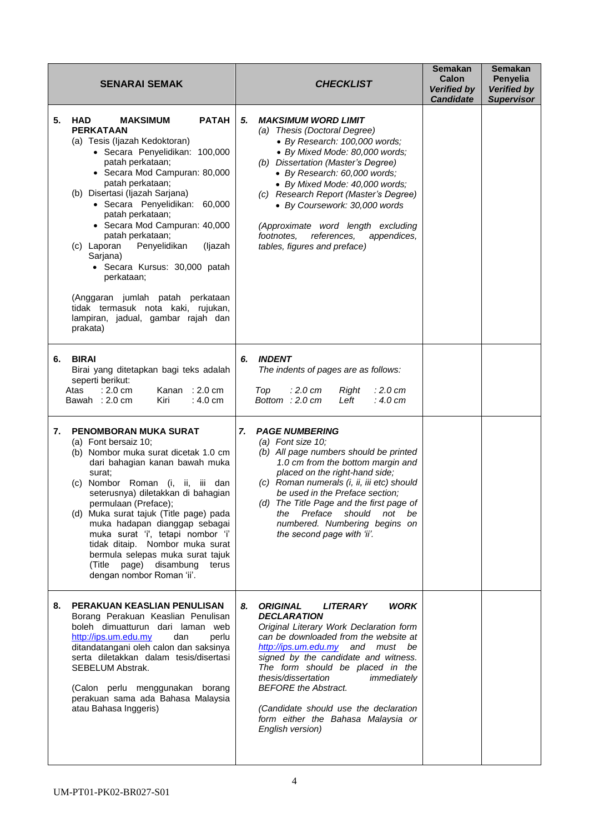| <b>SENARAI SEMAK</b> |                                                                                                                                                                                                                                                                                                                                                                                                                                                                                                                                                                                     |    | <b>CHECKLIST</b>                                                                                                                                                                                                                                                                                                                                                                                                                                    | <b>Semakan</b><br>Calon<br><b>Verified by</b><br><b>Candidate</b> | <b>Semakan</b><br>Penyelia<br><b>Verified by</b><br><b>Supervisor</b> |
|----------------------|-------------------------------------------------------------------------------------------------------------------------------------------------------------------------------------------------------------------------------------------------------------------------------------------------------------------------------------------------------------------------------------------------------------------------------------------------------------------------------------------------------------------------------------------------------------------------------------|----|-----------------------------------------------------------------------------------------------------------------------------------------------------------------------------------------------------------------------------------------------------------------------------------------------------------------------------------------------------------------------------------------------------------------------------------------------------|-------------------------------------------------------------------|-----------------------------------------------------------------------|
| 5.                   | HAD<br><b>MAKSIMUM</b><br><b>PATAH</b><br><b>PERKATAAN</b><br>(a) Tesis (Ijazah Kedoktoran)<br>· Secara Penyelidikan: 100,000<br>patah perkataan;<br>• Secara Mod Campuran: 80,000<br>patah perkataan;<br>(b) Disertasi (Ijazah Sarjana)<br>· Secara Penyelidikan: 60,000<br>patah perkataan;<br>• Secara Mod Campuran: 40,000<br>patah perkataan;<br>(c) Laporan<br>Penyelidikan<br>(ljazah<br>Sarjana)<br>· Secara Kursus: 30,000 patah<br>perkataan;<br>(Anggaran jumlah patah perkataan<br>tidak termasuk nota kaki, rujukan,<br>lampiran, jadual, gambar rajah dan<br>prakata) | 5. | <b>MAKSIMUM WORD LIMIT</b><br>(a) Thesis (Doctoral Degree)<br>• By Research: 100,000 words;<br>· By Mixed Mode: 80,000 words;<br>(b) Dissertation (Master's Degree)<br>• By Research: 60,000 words;<br>· By Mixed Mode: 40,000 words;<br>(c) Research Report (Master's Degree)<br>• By Coursework: 30,000 words<br>(Approximate word length excluding<br>footnotes.<br>references.<br>appendices,<br>tables, figures and preface)                   |                                                                   |                                                                       |
| 6.                   | <b>BIRAI</b><br>Birai yang ditetapkan bagi teks adalah<br>seperti berikut:<br>$: 2.0 \text{ cm}$<br>Kanan: $2.0 \text{ cm}$<br>Atas<br>Bawah : 2.0 cm<br>Kiri<br>$: 4.0 \text{ cm}$                                                                                                                                                                                                                                                                                                                                                                                                 | 6. | <b>INDENT</b><br>The indents of pages are as follows:<br>Top<br>: 2.0 cm<br>Right<br>: 2.0 cm<br>Bottom : 2.0 cm<br>: 4.0 cm<br>Left                                                                                                                                                                                                                                                                                                                |                                                                   |                                                                       |
| 7.                   | PENOMBORAN MUKA SURAT<br>(a) Font bersaiz 10;<br>(b) Nombor muka surat dicetak 1.0 cm<br>dari bahagian kanan bawah muka<br>surat;<br>(c) Nombor Roman (i, ii, iii dan<br>seterusnya) diletakkan di bahagian<br>permulaan (Preface);<br>(d) Muka surat tajuk (Title page) pada<br>muka hadapan dianggap sebagai<br>muka surat 'i', tetapi nombor 'i'<br>tidak ditaip. Nombor muka surat<br>bermula selepas muka surat tajuk<br>(Title page) disambung<br>terus<br>dengan nombor Roman 'ii'.                                                                                          | 7. | <b>PAGE NUMBERING</b><br>(a) Font size 10;<br>(b) All page numbers should be printed<br>1.0 cm from the bottom margin and<br>placed on the right-hand side;<br>(c) Roman numerals (i, ii, iii etc) should<br>be used in the Preface section;<br>(d) The Title Page and the first page of<br>the Preface should not<br>be<br>numbered. Numbering begins on<br>the second page with 'ii'.                                                             |                                                                   |                                                                       |
| 8.                   | PERAKUAN KEASLIAN PENULISAN<br>Borang Perakuan Keaslian Penulisan<br>boleh dimuatturun dari laman web<br>http://ips.um.edu.my<br>dan<br>perlu<br>ditandatangani oleh calon dan saksinya<br>serta diletakkan dalam tesis/disertasi<br>SEBELUM Abstrak.<br>(Calon perlu menggunakan borang<br>perakuan sama ada Bahasa Malaysia<br>atau Bahasa Inggeris)                                                                                                                                                                                                                              | 8. | <b>ORIGINAL</b><br><b>LITERARY</b><br><b>WORK</b><br><b>DECLARATION</b><br>Original Literary Work Declaration form<br>can be downloaded from the website at<br>http://ips.um.edu.my and must be<br>signed by the candidate and witness.<br>The form should be placed in the<br>thesis/dissertation<br>immediately<br><b>BEFORE</b> the Abstract.<br>(Candidate should use the declaration<br>form either the Bahasa Malaysia or<br>English version) |                                                                   |                                                                       |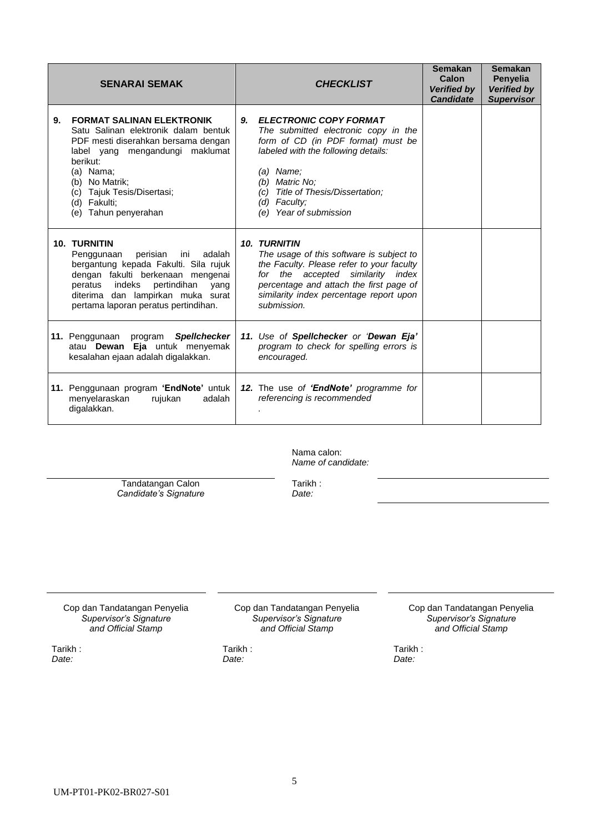|    | <b>SENARAI SEMAK</b>                                                                                                                                                                                                                                                   |    | <b>CHECKLIST</b>                                                                                                                                                                                                                                                      | <b>Semakan</b><br>Calon<br><b>Verified by</b><br><b>Candidate</b> | <b>Semakan</b><br>Penyelia<br><b>Verified by</b><br><b>Supervisor</b> |
|----|------------------------------------------------------------------------------------------------------------------------------------------------------------------------------------------------------------------------------------------------------------------------|----|-----------------------------------------------------------------------------------------------------------------------------------------------------------------------------------------------------------------------------------------------------------------------|-------------------------------------------------------------------|-----------------------------------------------------------------------|
| 9. | <b>FORMAT SALINAN ELEKTRONIK</b><br>Satu Salinan elektronik dalam bentuk<br>PDF mesti diserahkan bersama dengan<br>maklumat<br>label yang mengandungi<br>berikut:<br>(a) Nama:<br>(b) No Matrik;<br>(c) Tajuk Tesis/Disertasi;<br>(d) Fakulti;<br>(e) Tahun penyerahan | 9. | <b>ELECTRONIC COPY FORMAT</b><br>The submitted electronic copy in the<br>form of CD (in PDF format) must be<br>labeled with the following details:<br>$(a)$ Name:<br>(b) Matric No:<br>Title of Thesis/Dissertation;<br>(c)<br>(d) Faculty;<br>(e) Year of submission |                                                                   |                                                                       |
|    | <b>10. TURNITIN</b><br>perisian<br>adalah<br>Penggunaan<br>ini<br>bergantung kepada Fakulti. Sila rujuk<br>dengan fakulti berkenaan mengenai<br>indeks<br>pertindihan<br>peratus<br>yang<br>diterima dan lampirkan muka surat<br>pertama laporan peratus pertindihan.  |    | <b>10. TURNITIN</b><br>The usage of this software is subject to<br>the Faculty. Please refer to your faculty<br>for the accepted similarity index<br>percentage and attach the first page of<br>similarity index percentage report upon<br>submission.                |                                                                   |                                                                       |
|    | 11. Penggunaan program<br><b>Spellchecker</b><br>atau Dewan Eja untuk menyemak<br>kesalahan ejaan adalah digalakkan.                                                                                                                                                   |    | 11. Use of Spellchecker or 'Dewan Eja'<br>program to check for spelling errors is<br>encouraged.                                                                                                                                                                      |                                                                   |                                                                       |
|    | 11. Penggunaan program 'EndNote' untuk<br>menyelaraskan<br>adalah<br>rujukan<br>digalakkan.                                                                                                                                                                            |    | 12. The use of 'EndNote' programme for<br>referencing is recommended                                                                                                                                                                                                  |                                                                   |                                                                       |

Nama calon: *Name of candidate:*

Tandatangan Calon *Candidate's Signature* Tarikh : *Date:*

Cop dan Tandatangan Penyelia *Supervisor's Signature and Official Stamp*

Tarikh : *Date:*

Cop dan Tandatangan Penyelia *Supervisor's Signature and Official Stamp*

Tarikh : *Date:*

Cop dan Tandatangan Penyelia *Supervisor's Signature and Official Stamp*

Tarikh : *Date:*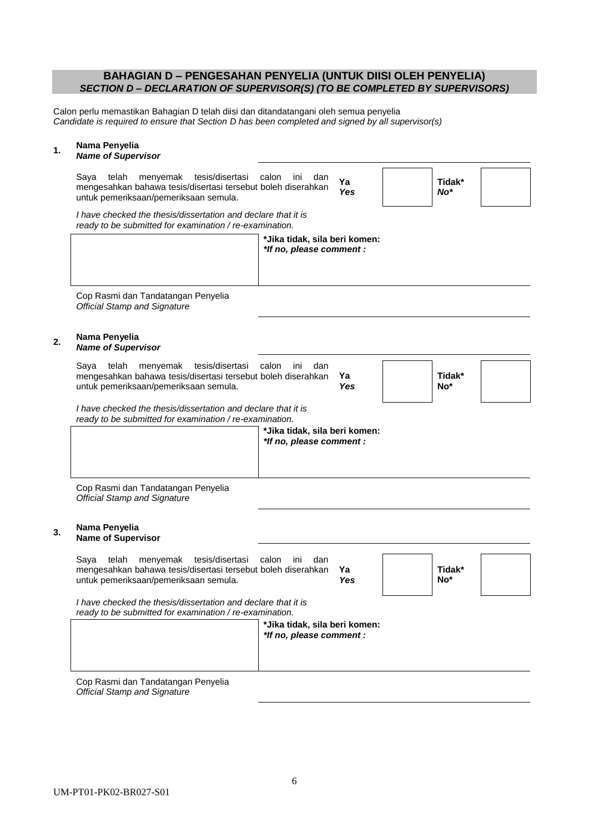## **BAHAGIAN D – PENGESAHAN PENYELIA (UNTUK DIISI OLEH PENYELIA)** *SECTION D – DECLARATION OF SUPERVISOR(S) (TO BE COMPLETED BY SUPERVISORS)*

Calon perlu memastikan Bahagian D telah diisi dan ditandatangani oleh semua penyelia *Candidate is required to ensure that Section D has been completed and signed by all supervisor(s)*

# **1. Nama Penyelia**

### *Name of Supervisor*

| menyemak tesis/disertasi calon ini<br>Sava<br>telah<br>mengesahkan bahawa tesis/disertasi tersebut boleh diserahkan<br>untuk pemeriksaan/pemeriksaan semula. | dan<br>Ya<br>Yes                                          |  | Tidak*<br>$No*$ |  |  |  |  |
|--------------------------------------------------------------------------------------------------------------------------------------------------------------|-----------------------------------------------------------|--|-----------------|--|--|--|--|
| I have checked the thesis/dissertation and declare that it is<br>ready to be submitted for examination / re-examination.                                     |                                                           |  |                 |  |  |  |  |
|                                                                                                                                                              | *Jika tidak, sila beri komen:<br>*If no, please comment : |  |                 |  |  |  |  |

Cop Rasmi dan Tandatangan Penyelia *Official Stamp and Signature*

# **2. Nama Penyelia**

#### *Name of Supervisor*

| Sava                                  | telah |  | menvemak tesis/disertasi                                     | calon | ini | dan |       |        |  |
|---------------------------------------|-------|--|--------------------------------------------------------------|-------|-----|-----|-------|--------|--|
|                                       |       |  | mengesahkan bahawa tesis/disertasi tersebut boleh diserahkan |       |     |     |       | Tidak* |  |
| untuk pemeriksaan/pemeriksaan semula. |       |  |                                                              |       |     | Yes | $No*$ |        |  |

*I have checked the thesis/dissertation and declare that it is ready to be submitted for examination / re-examination.*

| *Jika tidak, sila beri komen:<br>*If no, please comment : |
|-----------------------------------------------------------|
|                                                           |
|                                                           |

Cop Rasmi dan Tandatangan Penyelia *Official Stamp and Signature*

#### **3. Nama Penyelia Name of Supervisor**

|  |                                       | Saya telah menyemak tesis/disertasi calon ini                   |  | dan |     |
|--|---------------------------------------|-----------------------------------------------------------------|--|-----|-----|
|  |                                       | mengesahkan bahawa tesis/disertasi tersebut boleh diserahkan Ya |  |     |     |
|  | untuk pemeriksaan/pemeriksaan semula. |                                                                 |  |     | Yes |

**Tidak\* No\***

*I have checked the thesis/dissertation and declare that it is ready to be submitted for examination / re-examination.*

| *Jika tidak, sila beri komen:<br>*If no, please comment : |
|-----------------------------------------------------------|
|                                                           |

Cop Rasmi dan Tandatangan Penyelia *Official Stamp and Signature*